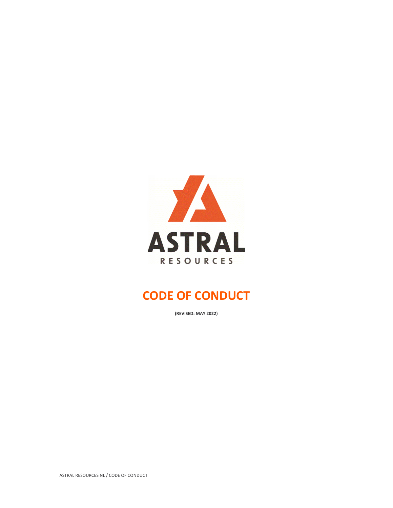

# **CODE OF CONDUCT**

**(REVISED: MAY 2022)**

ASTRAL RESOURCES NL / CODE OF CONDUCT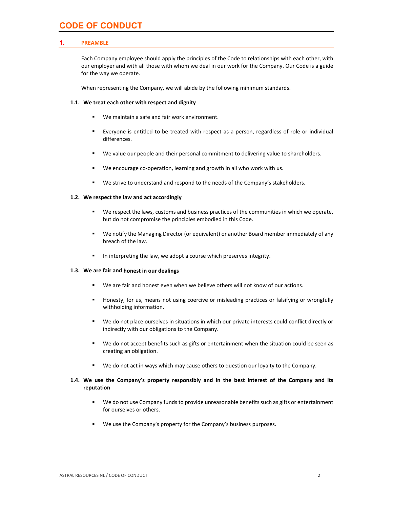# **CODE OF CONDUCT**

# **1. PREAMBLE**

Each Company employee should apply the principles of the Code to relationships with each other, with our employer and with all those with whom we deal in our work for the Company. Our Code is a guide for the way we operate.

When representing the Company, we will abide by the following minimum standards.

# **1.1. We treat each other with respect and dignity**

- We maintain a safe and fair work environment.
- Everyone is entitled to be treated with respect as a person, regardless of role or individual differences.
- We value our people and their personal commitment to delivering value to shareholders.
- We encourage co-operation, learning and growth in all who work with us.
- We strive to understand and respond to the needs of the Company's stakeholders.

# **1.2. We respect the law and act accordingly**

- We respect the laws, customs and business practices of the communities in which we operate, but do not compromise the principles embodied in this Code.
- We notify the Managing Director (or equivalent) or another Board member immediately of any breach of the law.
- In interpreting the law, we adopt a course which preserves integrity.

#### **1.3. We are fair and honest in our dealings**

- We are fair and honest even when we believe others will not know of our actions.
- **Honesty, for us, means not using coercive or misleading practices or falsifying or wrongfully** withholding information.
- We do not place ourselves in situations in which our private interests could conflict directly or indirectly with our obligations to the Company.
- We do not accept benefits such as gifts or entertainment when the situation could be seen as creating an obligation.
- We do not act in ways which may cause others to question our loyalty to the Company.

# **1.4. We use the Company's property responsibly and in the best interest of the Company and its reputation**

- We do not use Company funds to provide unreasonable benefits such as gifts or entertainment for ourselves or others.
- We use the Company's property for the Company's business purposes.